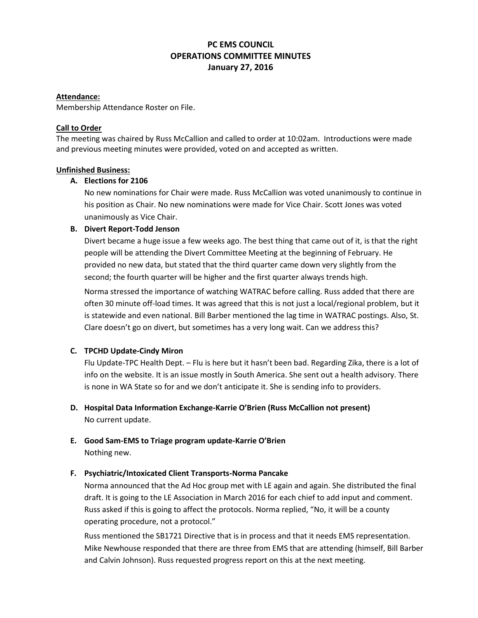# **PC EMS COUNCIL OPERATIONS COMMITTEE MINUTES January 27, 2016**

### **Attendance:**

Membership Attendance Roster on File.

### **Call to Order**

The meeting was chaired by Russ McCallion and called to order at 10:02am. Introductions were made and previous meeting minutes were provided, voted on and accepted as written.

### **Unfinished Business:**

## **A. Elections for 2106**

No new nominations for Chair were made. Russ McCallion was voted unanimously to continue in his position as Chair. No new nominations were made for Vice Chair. Scott Jones was voted unanimously as Vice Chair.

### **B. Divert Report-Todd Jenson**

Divert became a huge issue a few weeks ago. The best thing that came out of it, is that the right people will be attending the Divert Committee Meeting at the beginning of February. He provided no new data, but stated that the third quarter came down very slightly from the second; the fourth quarter will be higher and the first quarter always trends high.

Norma stressed the importance of watching WATRAC before calling. Russ added that there are often 30 minute off-load times. It was agreed that this is not just a local/regional problem, but it is statewide and even national. Bill Barber mentioned the lag time in WATRAC postings. Also, St. Clare doesn't go on divert, but sometimes has a very long wait. Can we address this?

## **C. TPCHD Update-Cindy Miron**

Flu Update-TPC Health Dept. – Flu is here but it hasn't been bad. Regarding Zika, there is a lot of info on the website. It is an issue mostly in South America. She sent out a health advisory. There is none in WA State so for and we don't anticipate it. She is sending info to providers.

## **D. Hospital Data Information Exchange-Karrie O'Brien (Russ McCallion not present)** No current update.

**E. Good Sam-EMS to Triage program update-Karrie O'Brien** Nothing new.

## **F. Psychiatric/Intoxicated Client Transports-Norma Pancake**

Norma announced that the Ad Hoc group met with LE again and again. She distributed the final draft. It is going to the LE Association in March 2016 for each chief to add input and comment. Russ asked if this is going to affect the protocols. Norma replied, "No, it will be a county operating procedure, not a protocol."

Russ mentioned the SB1721 Directive that is in process and that it needs EMS representation. Mike Newhouse responded that there are three from EMS that are attending (himself, Bill Barber and Calvin Johnson). Russ requested progress report on this at the next meeting.